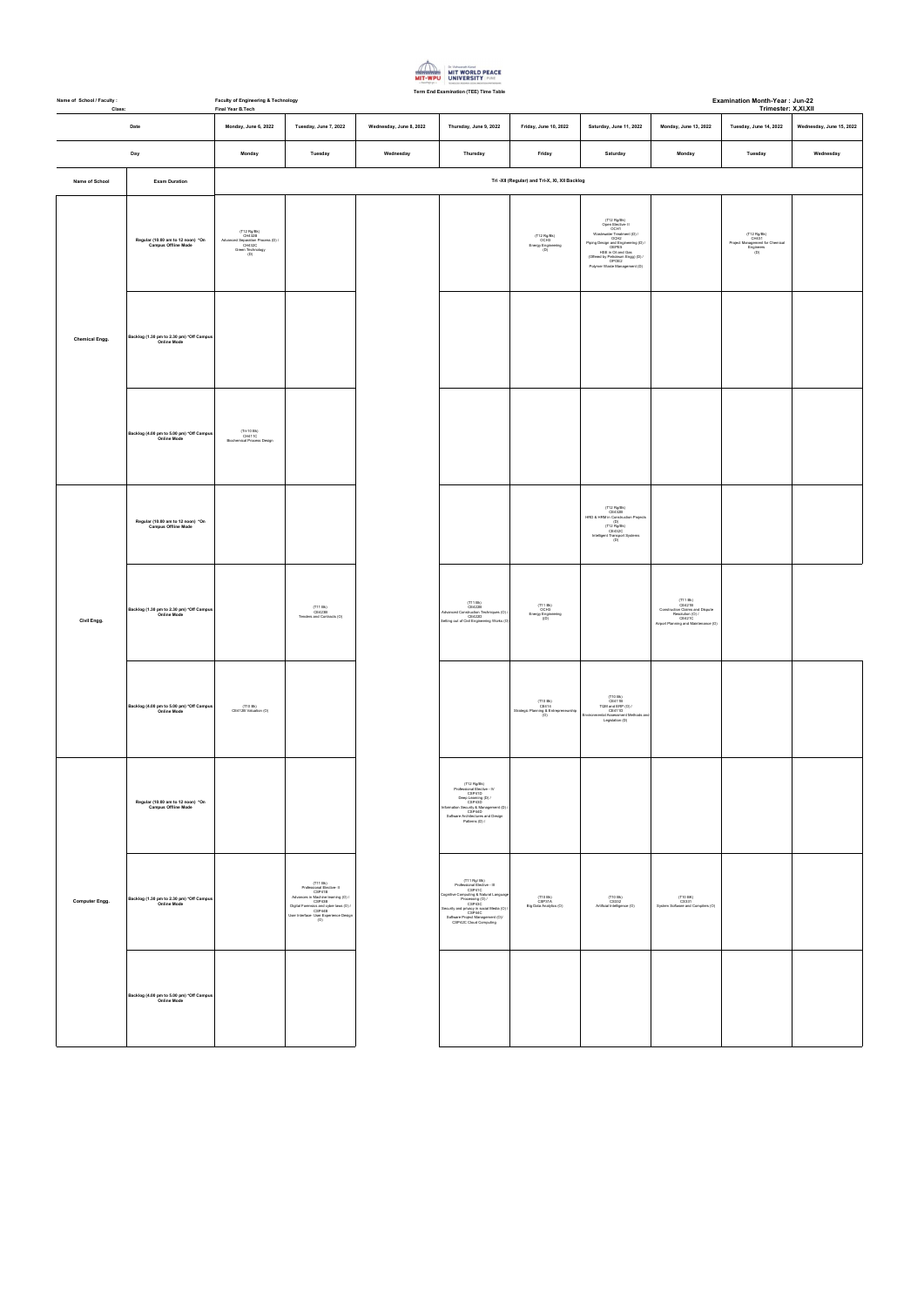| Name of School / Faculty :<br>Class: |                                                                 | <b>Faculty of Engineering &amp; Technology</b><br>Final Year B.Tech                             |                                                                                                                                                                                                     |                         |                                                                                                                                                                                                                                                     |                                                                                              |                                                                                                                                                                                                                                                              |                                                                                                                             |                                                                           | Examination Month-Year: Jun-22<br>Trimester: X,XI,XII |  |  |
|--------------------------------------|-----------------------------------------------------------------|-------------------------------------------------------------------------------------------------|-----------------------------------------------------------------------------------------------------------------------------------------------------------------------------------------------------|-------------------------|-----------------------------------------------------------------------------------------------------------------------------------------------------------------------------------------------------------------------------------------------------|----------------------------------------------------------------------------------------------|--------------------------------------------------------------------------------------------------------------------------------------------------------------------------------------------------------------------------------------------------------------|-----------------------------------------------------------------------------------------------------------------------------|---------------------------------------------------------------------------|-------------------------------------------------------|--|--|
|                                      | Date                                                            | Monday, June 6, 2022                                                                            | Tuesday, June 7, 2022                                                                                                                                                                               | Wednesday, June 8, 2022 | Thursday, June 9, 2022                                                                                                                                                                                                                              | Friday, June 10, 2022                                                                        | Saturday, June 11, 2022                                                                                                                                                                                                                                      | Monday, June 13, 2022                                                                                                       | Tuesday, June 14, 2022                                                    | Wednesday, June 15, 2022                              |  |  |
|                                      | Day                                                             | Monday                                                                                          | Tuesday                                                                                                                                                                                             | Wednesday               | Thursday                                                                                                                                                                                                                                            | Friday                                                                                       | Saturday                                                                                                                                                                                                                                                     | Monday                                                                                                                      | Tuesday                                                                   | Wednesday                                             |  |  |
| Name of School                       | <b>Exam Duration</b>                                            |                                                                                                 | Tri -XII (Regular) and Tri-X, XI, XII Backlog                                                                                                                                                       |                         |                                                                                                                                                                                                                                                     |                                                                                              |                                                                                                                                                                                                                                                              |                                                                                                                             |                                                                           |                                                       |  |  |
|                                      | Regular (10.00 am to 12 noon) *On<br><b>Campus Offline Mode</b> | (T12 Rg/Bk)<br>CH432B<br>Advanced Separation Process (D) /<br>CH432C<br>Green Technology<br>(D) |                                                                                                                                                                                                     |                         |                                                                                                                                                                                                                                                     | $\begin{array}{c} \text{(T12 Rg/Bk)}\\ \text{OCH3} \end{array}$<br>Energy Engineering<br>(D) | (T12 Rg/Bk)<br>Open Elective- II<br>CH1<br>Wastewater Treatment (D) /<br>OCH1<br>Piping Design and Engineering (D) /<br>OEPE5<br>OEPE5<br>OEPE5<br>OEPE5<br>HSE in Oil and Gas<br>(Offered by Petroleum Engg) (D) /<br>OPOE2<br>Polymer Waste Management (D) |                                                                                                                             | (T12 Rg/Bk)<br>Project Management for Chemical<br>Engineers<br>(D)<br>(D) |                                                       |  |  |
| <b>Chemical Engg.</b>                | Backlog (1.30 pm to 2.30 pm) *Off Campus<br>Online Mode         |                                                                                                 |                                                                                                                                                                                                     |                         |                                                                                                                                                                                                                                                     |                                                                                              |                                                                                                                                                                                                                                                              |                                                                                                                             |                                                                           |                                                       |  |  |
|                                      | Backlog (4.00 pm to 5.00 pm) *Off Campus<br><b>Online Mode</b>  | (Tri-10 Bk)<br>CH411C<br>Biochemical Process Design                                             |                                                                                                                                                                                                     |                         |                                                                                                                                                                                                                                                     |                                                                                              |                                                                                                                                                                                                                                                              |                                                                                                                             |                                                                           |                                                       |  |  |
|                                      | Regular (10.00 am to 12 noon) *On<br>Campus Offline Mode        |                                                                                                 |                                                                                                                                                                                                     |                         |                                                                                                                                                                                                                                                     |                                                                                              | $(\mathsf{T12} \ \mathsf{Rg/Bk}) \\ \mathsf{CE432B}$<br>CE432B<br>HRD & HRM in Construction Projects<br>(D)<br>CE432C<br>CE432C<br>Intelligent Transport Systems<br>(D)                                                                                      |                                                                                                                             |                                                                           |                                                       |  |  |
| Civil Engg.                          | Backlog (1.30 pm to 2.30 pm) *Off Campus<br><b>Online Mode</b>  |                                                                                                 | $(T11 Bk)$<br>CE423B<br>Tenders and Contracts (O)                                                                                                                                                   |                         | (T11 Bk)<br>CE422B<br>Advanced Construction Techniques (O) /<br>CE422D<br>Setting out of Civil Engineering Works (O)                                                                                                                                | (T11 Bk)<br>OCH3<br><b>Energy Engineering</b><br>$($ (D)                                     |                                                                                                                                                                                                                                                              | (T11 Bk)<br>CE421B<br>Construction Claims and Dispute<br>Resolution (O) /<br>CE421C<br>Airport Planning and Maintenance (O) |                                                                           |                                                       |  |  |
|                                      | Backlog (4.00 pm to 5.00 pm) *Off Campus<br><b>Online Mode</b>  | (T10 Bk)<br>CE412B Valuation (O)                                                                |                                                                                                                                                                                                     |                         |                                                                                                                                                                                                                                                     | (T10 Bk)<br>CE414<br>Strategic Planning & Entrepreneurship<br>(O)                            | $\begin{array}{c} \text{(T10 Bk)}\\ \text{CE411B} \end{array}$<br>TQM and ERP (O) /<br>CE411D<br>Environmental Assessment Methods and<br>Legislation (D)                                                                                                     |                                                                                                                             |                                                                           |                                                       |  |  |
|                                      | Regular (10.00 am to 12 noon) *On<br><b>Campus Offline Mode</b> |                                                                                                 |                                                                                                                                                                                                     |                         | (T12 Rg/Bk)<br>Professional Elective - IV<br>CSP41D<br>Deep Learning (D) /<br>CSP43D<br>Information Security & Management (D) /<br>CSP44D<br>Software Architectures and Design<br>Patterns (D) /                                                    |                                                                                              |                                                                                                                                                                                                                                                              |                                                                                                                             |                                                                           |                                                       |  |  |
| Computer Engg.                       | Backlog (1.30 pm to 2.30 pm) *Off Campus<br><b>Online Mode</b>  |                                                                                                 | (T11 Bk)<br>Professional Elective-II<br>CSP41B<br>Advances in Machine learning (O) /<br>CSP43B<br>Digital Forensics and cyber laws (O) /<br>CSP44B<br>User Interface- User Experience Design<br>(0) |                         | (T11 Rg/ Bk)<br>Professional Elective - III<br>CSP41C<br>Cognitive Computing & Natural Language<br>Processing (O) /<br>CSP43C<br>Security and privacy in social Media (O) /<br>CSP44C<br>Software Project Management (O)/<br>CSP42C Cloud Computing | (T10 Bk)<br>CSP31A<br>Big Data Analytics (O)                                                 | (T10 Bk)<br>CS332<br>Artificial Intelligence (O)                                                                                                                                                                                                             | (T10 BK)<br>CS331<br>System Software and Compilers (O)                                                                      |                                                                           |                                                       |  |  |
|                                      |                                                                 |                                                                                                 |                                                                                                                                                                                                     |                         |                                                                                                                                                                                                                                                     |                                                                                              |                                                                                                                                                                                                                                                              |                                                                                                                             |                                                                           |                                                       |  |  |

| Backlog (4.00 pm to 5.00 pm) *Off Campus<br>Online Mode |  |  |  |  |
|---------------------------------------------------------|--|--|--|--|
|                                                         |  |  |  |  |
|                                                         |  |  |  |  |

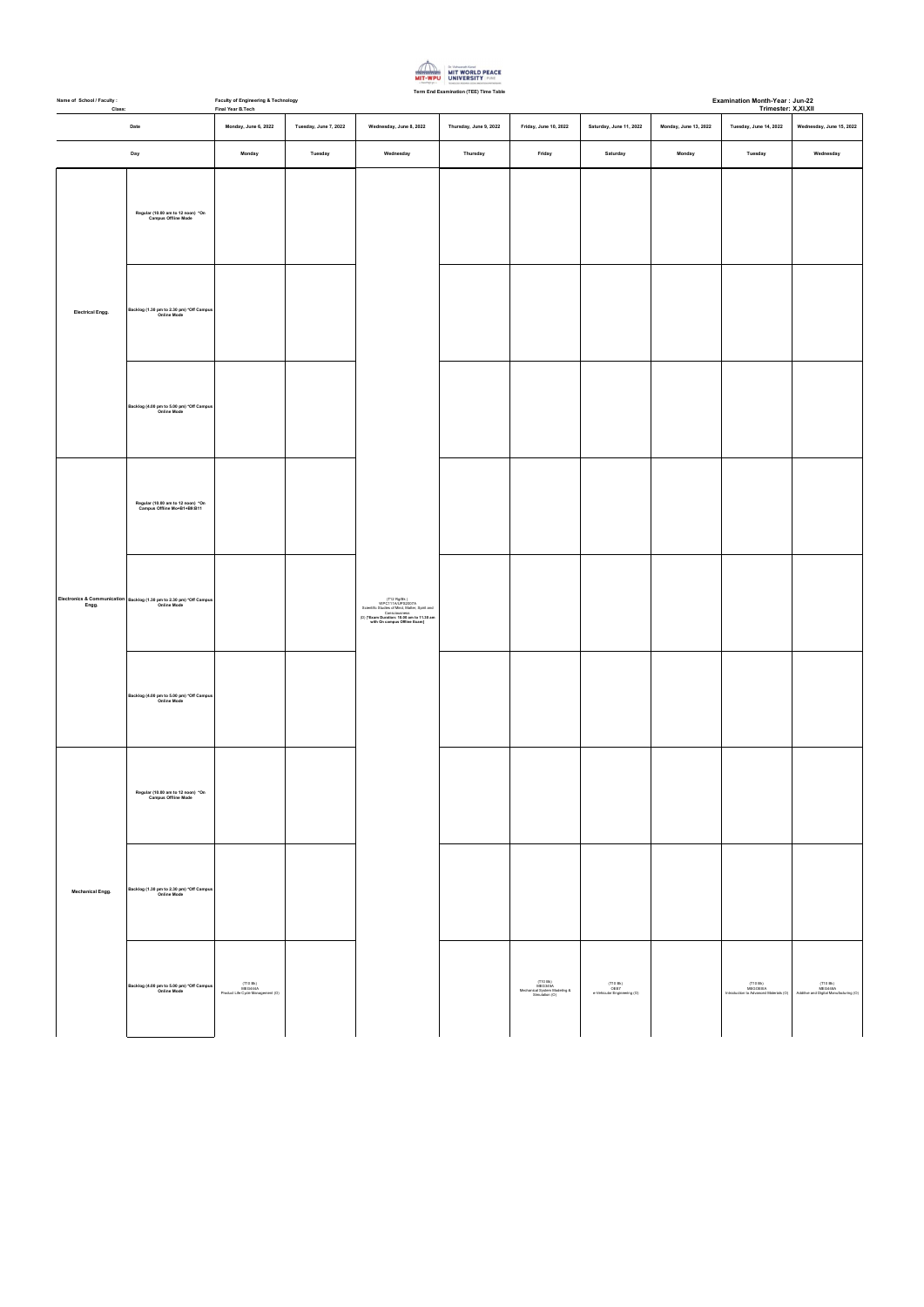

| Name of School / Faculty :<br>Class: |                                                                                            | <b>Examination Month-Year: Jun-22</b><br>Faculty of Engineering & Technology<br>Final Year B.Tech<br>Trimester: X,XI,XII |                       |                                                                                                                                                                                 |                        |                       |                         |                       |                        |                          |  |
|--------------------------------------|--------------------------------------------------------------------------------------------|--------------------------------------------------------------------------------------------------------------------------|-----------------------|---------------------------------------------------------------------------------------------------------------------------------------------------------------------------------|------------------------|-----------------------|-------------------------|-----------------------|------------------------|--------------------------|--|
| Date                                 |                                                                                            | Monday, June 6, 2022                                                                                                     | Tuesday, June 7, 2022 | Wednesday, June 8, 2022                                                                                                                                                         | Thursday, June 9, 2022 | Friday, June 10, 2022 | Saturday, June 11, 2022 | Monday, June 13, 2022 | Tuesday, June 14, 2022 | Wednesday, June 15, 2022 |  |
|                                      | Day                                                                                        | Monday                                                                                                                   | Tuesday               | Wednesday                                                                                                                                                                       | Thursday               | Friday                | Saturday                | Monday                | Tuesday                | Wednesday                |  |
| Electrical Engg.                     | Regular (10.00 am to 12 noon) *On<br>Campus Offline Mode                                   |                                                                                                                          |                       | T12 Rg/Bk )<br>WPC111A/UPS2007A<br>Scientific Studies of Mind, Matter, Spirit and<br>Consciousness<br>(D) [*Exam Duration: 10.00 am to 11.30 am<br>with On campus Offline Exam] |                        |                       |                         |                       |                        |                          |  |
|                                      | Backlog (1.30 pm to 2.30 pm) *Off Campus<br>Online Mode                                    |                                                                                                                          |                       |                                                                                                                                                                                 |                        |                       |                         |                       |                        |                          |  |
|                                      | Backlog (4.00 pm to 5.00 pm) *Off Campus<br>Online Mode                                    |                                                                                                                          |                       |                                                                                                                                                                                 |                        |                       |                         |                       |                        |                          |  |
|                                      | Regular (10.00 am to 12 noon) *On<br>Campus Offline Mo+B1+B9:B11                           |                                                                                                                          |                       |                                                                                                                                                                                 |                        |                       |                         |                       |                        |                          |  |
| Engg.                                | Electronics & Communication Backlog (1.30 pm to 2.30 pm) *Off Campus<br><b>Online Mode</b> |                                                                                                                          |                       |                                                                                                                                                                                 |                        |                       |                         |                       |                        |                          |  |
|                                      | Backlog (4.00 pm to 5.00 pm) *Off Campus<br>Online Mode                                    |                                                                                                                          |                       |                                                                                                                                                                                 |                        |                       |                         |                       |                        |                          |  |
| <b>Mechanical Engg.</b>              | Regular (10.00 am to 12 noon) *On<br><b>Campus Offline Mode</b>                            |                                                                                                                          |                       |                                                                                                                                                                                 |                        |                       |                         |                       |                        |                          |  |
|                                      | Backlog (1.30 pm to 2.30 pm) *Off Campus<br><b>Online Mode</b>                             |                                                                                                                          |                       |                                                                                                                                                                                 |                        |                       |                         |                       |                        |                          |  |
|                                      | Backlog (4.00 pm to 5.00 pm) *Off Campus                                                   | (T10 Bk)                                                                                                                 |                       |                                                                                                                                                                                 |                        | (T10 Bk)<br>MEG345A   | (T10 Bk)                |                       | (T10 Bk)               | (T10 Bk)                 |  |

| Backlog (4.00 pm to 5.00 pm) *Off Campus<br><b>Online Mode</b> | (T10 Bk)<br>MEG444A<br>Product Life Cycle Management (O) | MEG345A<br>Mechanical System Modeling &<br>Simulation (O) | (T10 Bk)<br>OEE7<br>e-Vehicular Engineering (O) | (T10 BK)<br>MEGOEIIIA<br>Introduction to Advanced Materials | (T10 BK)<br>MEG448A<br>Additive and Digital Manufacturing (O) |  |
|----------------------------------------------------------------|----------------------------------------------------------|-----------------------------------------------------------|-------------------------------------------------|-------------------------------------------------------------|---------------------------------------------------------------|--|
|                                                                |                                                          |                                                           |                                                 |                                                             |                                                               |  |
|                                                                |                                                          |                                                           |                                                 |                                                             |                                                               |  |
|                                                                |                                                          |                                                           |                                                 |                                                             |                                                               |  |